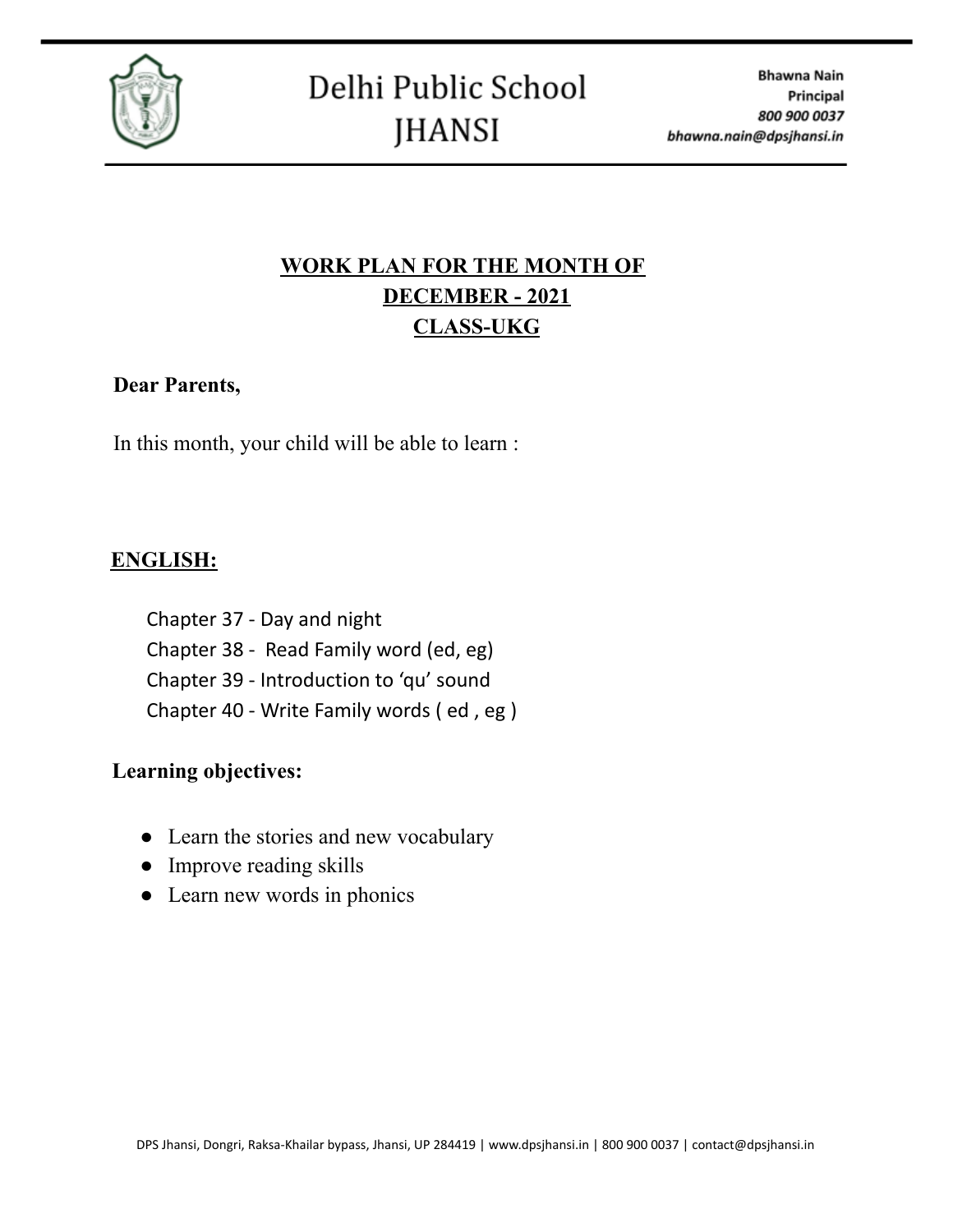

# **WORK PLAN FOR THE MONTH OF DECEMBER - 2021 CLASS-UKG**

#### **Dear Parents,**

In this month, your child will be able to learn :

### **ENGLISH:**

Chapter 37 - Day and night Chapter 38 - Read Family word (ed, eg) Chapter 39 - Introduction to 'qu' sound Chapter 40 - Write Family words ( ed , eg )

#### **Learning objectives:**

- Learn the stories and new vocabulary
- Improve reading skills
- Learn new words in phonics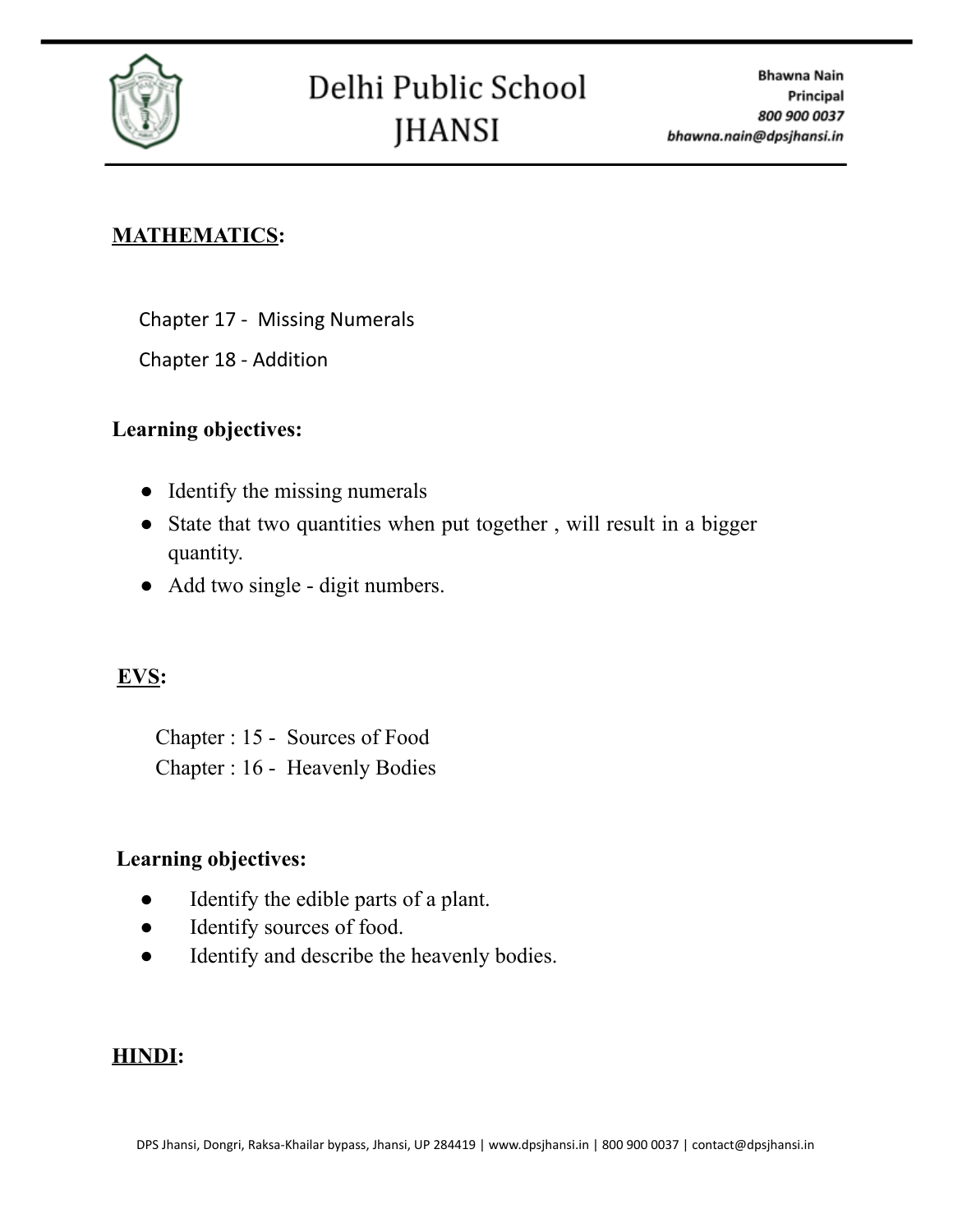

#### **MATHEMATICS:**

Chapter 17 - Missing Numerals

Chapter 18 - Addition

#### **Learning objectives:**

- Identify the missing numerals
- State that two quantities when put together, will result in a bigger quantity.
- Add two single digit numbers.

# **EVS:**

Chapter : 15 - Sources of Food Chapter : 16 - Heavenly Bodies

#### **Learning objectives:**

- Identify the edible parts of a plant.
- Identify sources of food.
- Identify and describe the heavenly bodies.

#### **HINDI:**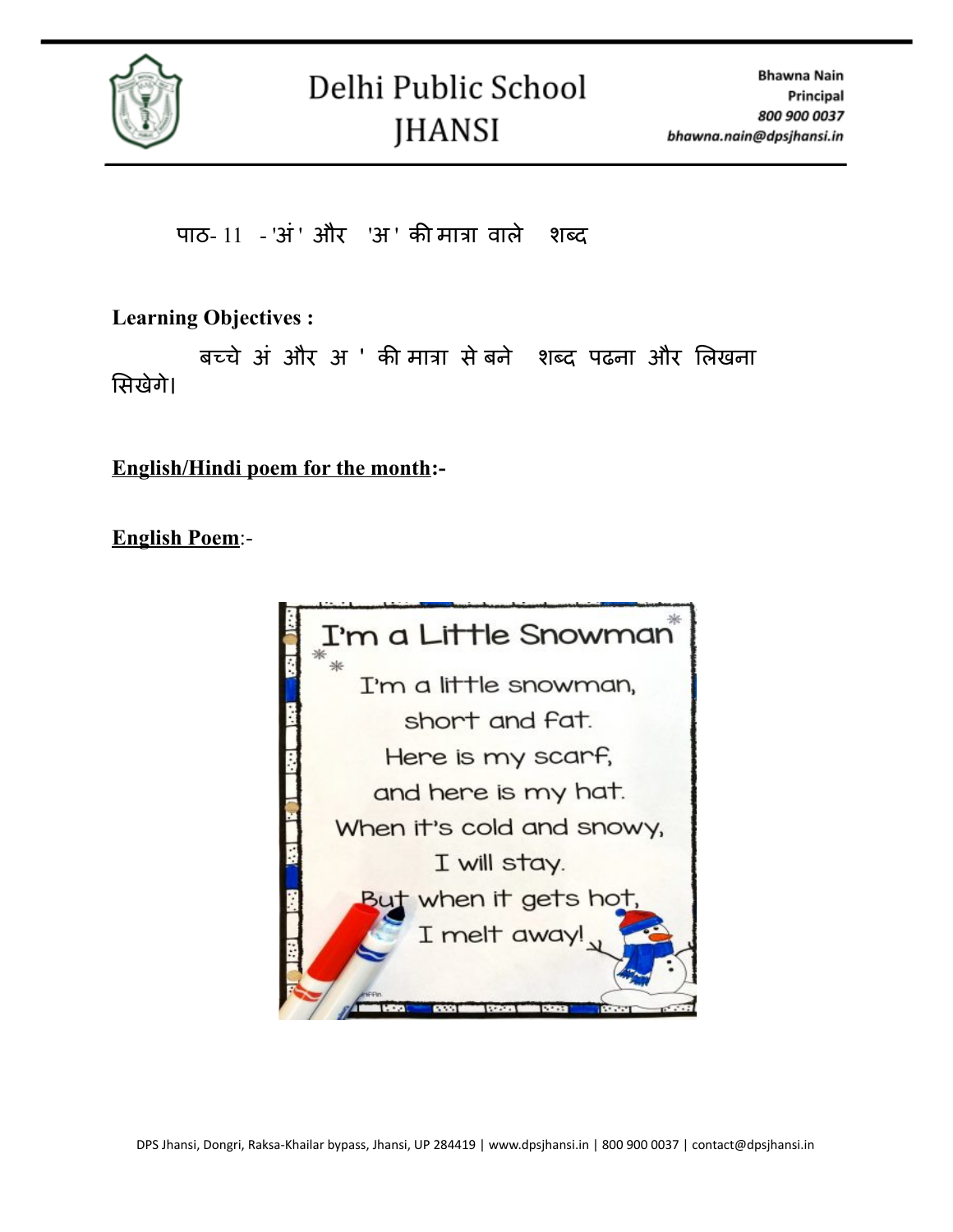

पाठ-  $11 - 3i$ ' और 'अ' की मात्रा वाले शब्द

**Learning Objectives :**

बच्चे अं और अ ' की मात्रा सेबने शब्द पढना और लि खना सिखेगे।

**English/Hindi poem for the month:-**

**English Poem**:-

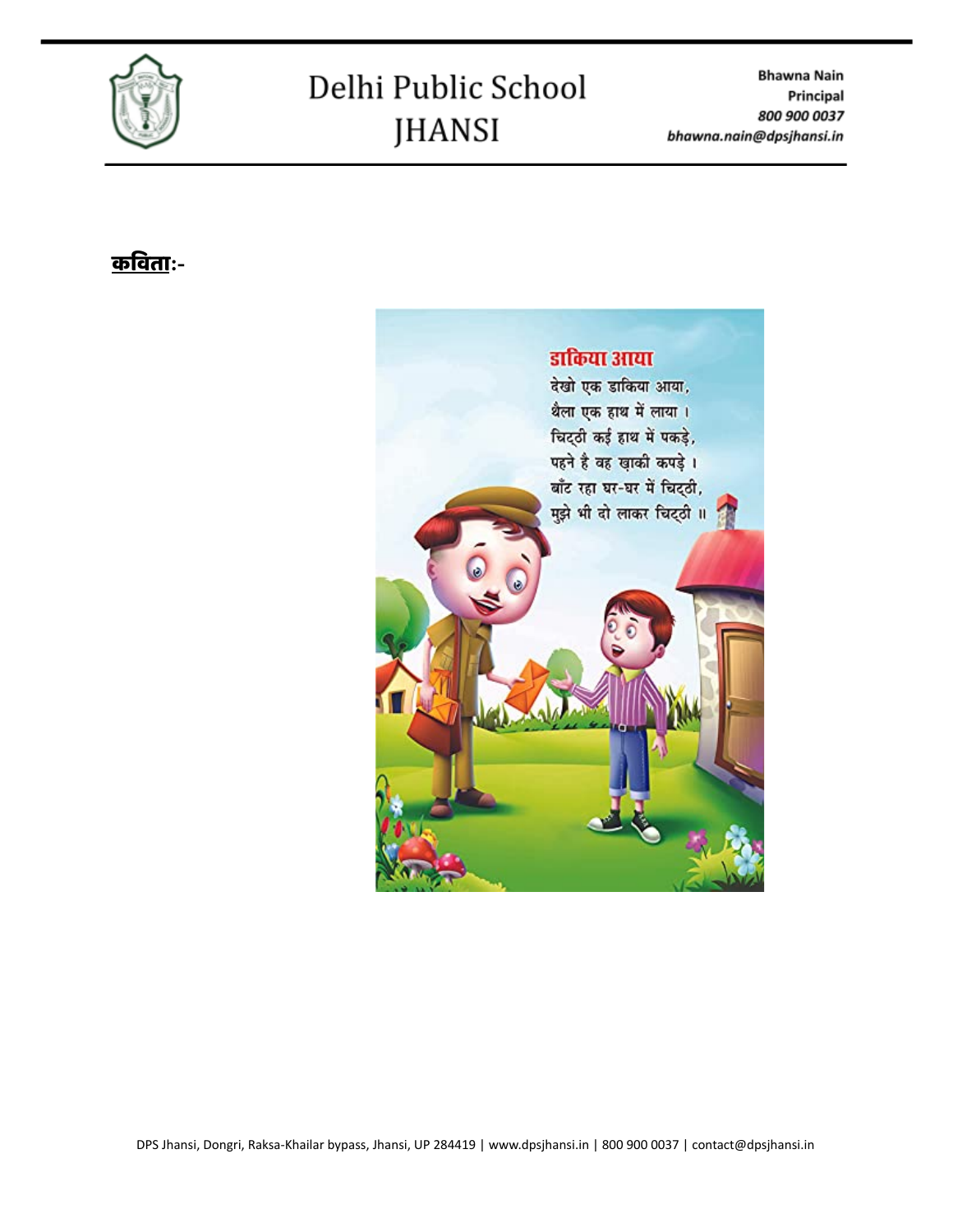

# Delhi Public School **JHANSI**

**Bhawna Nain** Principal 800 900 0037 bhawna.nain@dpsjhansi.in

# कवि ता**:-**

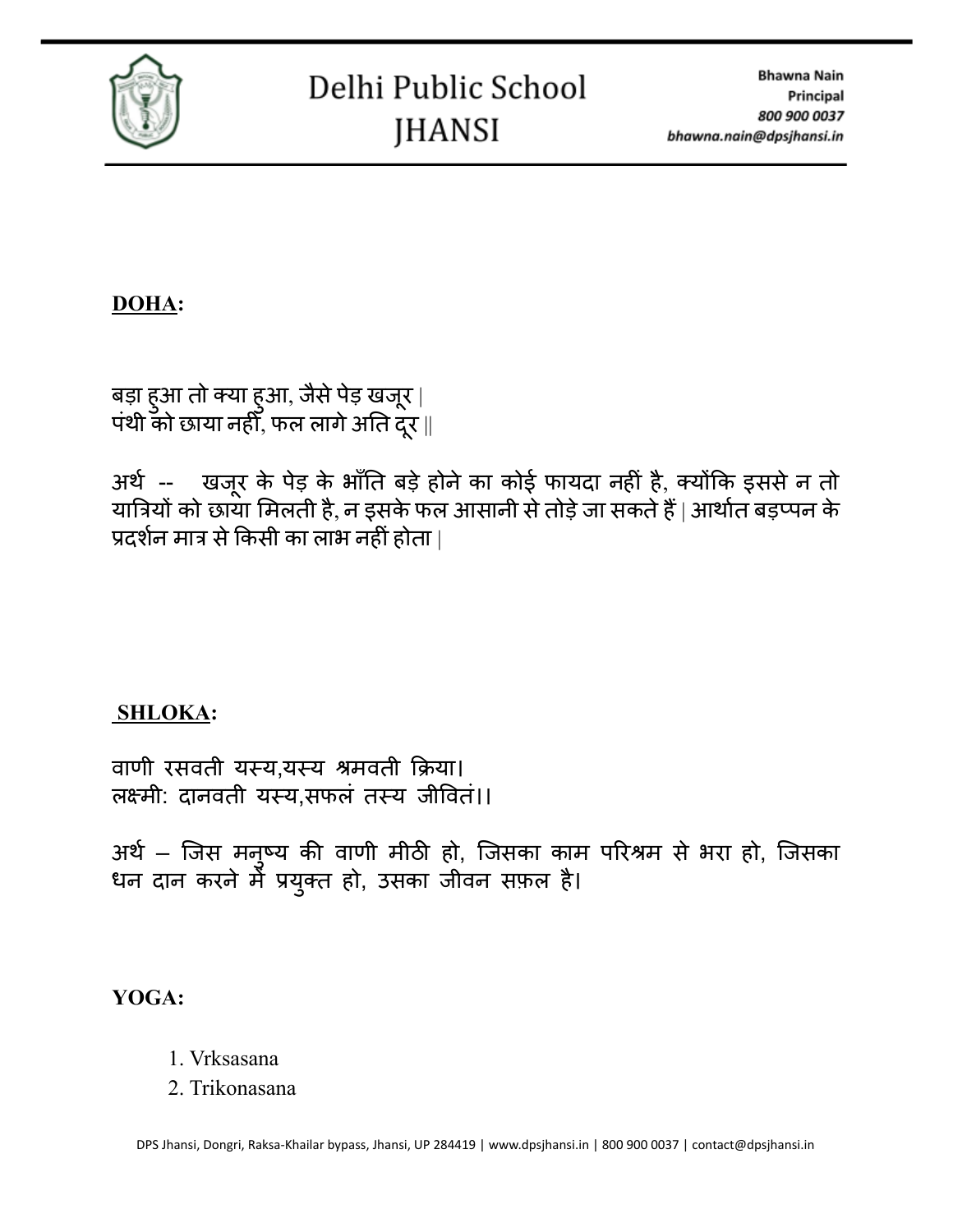

**DOHA:**

बड़ा हुआ तो क्या हुआ, जैसे पेड़ खजूर | पंथी को छाया नहीं, फल लागे अति दूर ||

अर्थ -- खजरू के पेड़ के भाँति बड़ेहोनेका कोई फायदा नहीं है, क्योंकि इससेन तो यात्रियों को छाया मिलती है, न इसके फल आसानी से तोड़े जा सकते हैं | आर्थात बड़प्पन के प्रदर्शन मात्र से किसी का लाभ नहीं होता |

# **SHLOKA:**

वाणी रसवती यस्य,यस्य श्रमवती क्रिया। लक्ष्मी: दानवती यस्य.सफलं तस्य जीवितं।।

अर्थ – जिस मनुष्य की वाणी मीठी हो, जिसका काम परिश्रम से भरा हो, जिसका धन दान करने में प्रयुक्त हो, उसका जीवन सफ़ल है।

**YOGA:**

- 1. Vrksasana
- 2. Trikonasana